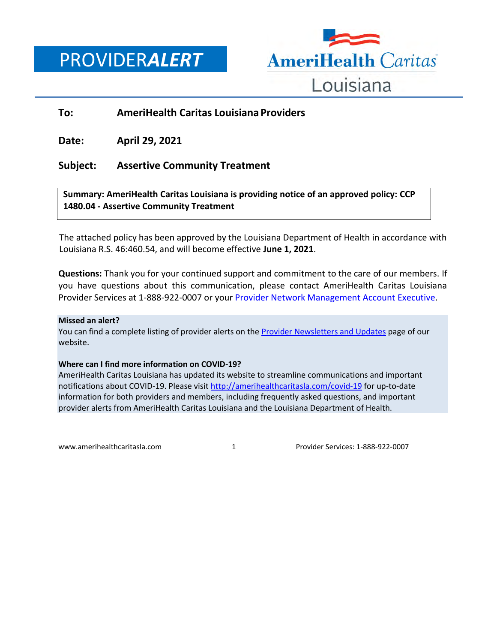PROVIDER*ALERT*



## **To: AmeriHealth Caritas Louisiana Providers**

**Date: April 29, 2021**

## **Subject: Assertive Community Treatment**

**Summary: AmeriHealth Caritas Louisiana is providing notice of an approved policy: CCP 1480.04 - Assertive Community Treatment**

The attached policy has been approved by the Louisiana Department of Health in accordance with Louisiana R.S. 46:460.54, and will become effective **June 1, 2021**.

**Questions:** Thank you for your continued support and commitment to the care of our members. If you have questions about this communication, please contact AmeriHealth Caritas Louisiana Provider Services at 1-888-922-0007 or you[r Provider Network Management Account Executive.](http://www.amerihealthcaritasla.com/pdf/provider/account-executives.pdf)

#### **Missed an alert?**

You can find a complete listing of provider alerts on the [Provider Newsletters and Updates](http://amerihealthcaritasla.com/provider/newsletters-and-updates.) page of our website.

#### **Where can I find more information on COVID-19?**

AmeriHealth Caritas Louisiana has updated its website to streamline communications and important notifications about COVID-19. Please visi[t http://amerihealthcaritasla.com/covid-19](http://amerihealthcaritasla.com/covid-19) for up-to-date information for both providers and members, including frequently asked questions, and important provider alerts from AmeriHealth Caritas Louisiana and the Louisiana Department of Health.

[www.amerihealthcaritasla.com](http://www.amerihealthcaritasla.com/) 1 Provider Services: 1-888-922-0007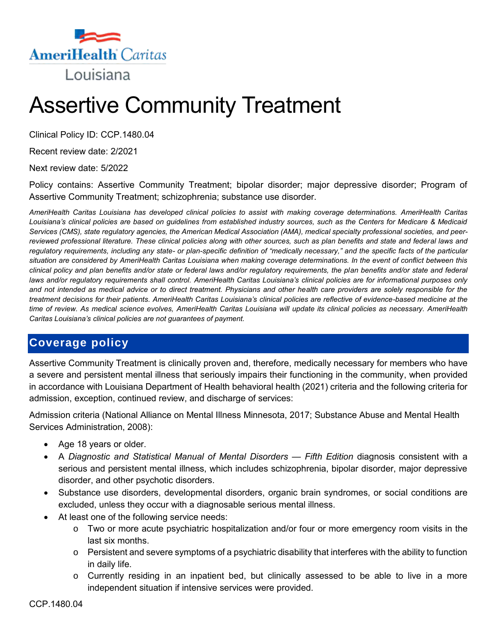

# Assertive Community Treatment

Clinical Policy ID: CCP.1480.04

Recent review date: 2/2021

Next review date: 5/2022

Policy contains: Assertive Community Treatment; bipolar disorder; major depressive disorder; Program of Assertive Community Treatment; schizophrenia; substance use disorder.

*AmeriHealth Caritas Louisiana has developed clinical policies to assist with making coverage determinations. AmeriHealth Caritas Louisiana's clinical policies are based on guidelines from established industry sources, such as the Centers for Medicare & Medicaid Services (CMS), state regulatory agencies, the American Medical Association (AMA), medical specialty professional societies, and peerreviewed professional literature. These clinical policies along with other sources, such as plan benefits and state and federal laws and regulatory requirements, including any state- or plan-specific definition of "medically necessary," and the specific facts of the particular situation are considered by AmeriHealth Caritas Louisiana when making coverage determinations. In the event of conflict between this clinical policy and plan benefits and/or state or federal laws and/or regulatory requirements, the plan benefits and/or state and federal*  laws and/or regulatory requirements shall control. AmeriHealth Caritas Louisiana's clinical policies are for informational purposes only *and not intended as medical advice or to direct treatment. Physicians and other health care providers are solely responsible for the treatment decisions for their patients. AmeriHealth Caritas Louisiana's clinical policies are reflective of evidence-based medicine at the time of review. As medical science evolves, AmeriHealth Caritas Louisiana will update its clinical policies as necessary. AmeriHealth Caritas Louisiana's clinical policies are not guarantees of payment.*

# **Coverage policy**

Assertive Community Treatment is clinically proven and, therefore, medically necessary for members who have a severe and persistent mental illness that seriously impairs their functioning in the community, when provided in accordance with Louisiana Department of Health behavioral health (2021) criteria and the following criteria for admission, exception, continued review, and discharge of services:

Admission criteria (National Alliance on Mental Illness Minnesota, 2017; Substance Abuse and Mental Health Services Administration, 2008):

- Age 18 years or older.
- A *Diagnostic and Statistical Manual of Mental Disorders — Fifth Edition* diagnosis consistent with a serious and persistent mental illness, which includes schizophrenia, bipolar disorder, major depressive disorder, and other psychotic disorders.
- Substance use disorders, developmental disorders, organic brain syndromes, or social conditions are excluded, unless they occur with a diagnosable serious mental illness.
- At least one of the following service needs:
	- $\circ$  Two or more acute psychiatric hospitalization and/or four or more emergency room visits in the last six months.
	- $\circ$  Persistent and severe symptoms of a psychiatric disability that interferes with the ability to function in daily life.
	- o Currently residing in an inpatient bed, but clinically assessed to be able to live in a more independent situation if intensive services were provided.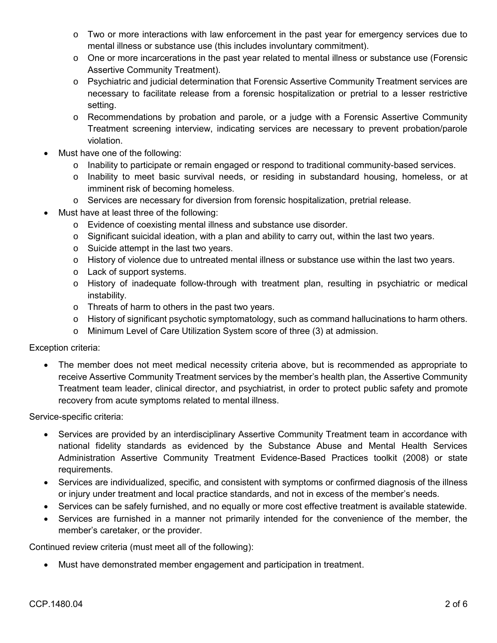- $\circ$  Two or more interactions with law enforcement in the past year for emergency services due to mental illness or substance use (this includes involuntary commitment).
- o One or more incarcerations in the past year related to mental illness or substance use (Forensic Assertive Community Treatment).
- o Psychiatric and judicial determination that Forensic Assertive Community Treatment services are necessary to facilitate release from a forensic hospitalization or pretrial to a lesser restrictive setting.
- o Recommendations by probation and parole, or a judge with a Forensic Assertive Community Treatment screening interview, indicating services are necessary to prevent probation/parole violation.
- Must have one of the following:
	- $\circ$  Inability to participate or remain engaged or respond to traditional community-based services.
	- o Inability to meet basic survival needs, or residing in substandard housing, homeless, or at imminent risk of becoming homeless.
	- o Services are necessary for diversion from forensic hospitalization, pretrial release.
- Must have at least three of the following:
	- o Evidence of coexisting mental illness and substance use disorder.
	- o Significant suicidal ideation, with a plan and ability to carry out, within the last two years.
	- o Suicide attempt in the last two years.
	- $\circ$  History of violence due to untreated mental illness or substance use within the last two years.
	- o Lack of support systems.
	- o History of inadequate follow-through with treatment plan, resulting in psychiatric or medical instability.
	- o Threats of harm to others in the past two years.
	- $\circ$  History of significant psychotic symptomatology, such as command hallucinations to harm others.
	- o Minimum Level of Care Utilization System score of three (3) at admission.

Exception criteria:

 The member does not meet medical necessity criteria above, but is recommended as appropriate to receive Assertive Community Treatment services by the member's health plan, the Assertive Community Treatment team leader, clinical director, and psychiatrist, in order to protect public safety and promote recovery from acute symptoms related to mental illness.

Service-specific criteria:

- Services are provided by an interdisciplinary Assertive Community Treatment team in accordance with national fidelity standards as evidenced by the Substance Abuse and Mental Health Services Administration Assertive Community Treatment Evidence-Based Practices toolkit (2008) or state requirements.
- Services are individualized, specific, and consistent with symptoms or confirmed diagnosis of the illness or injury under treatment and local practice standards, and not in excess of the member's needs.
- Services can be safely furnished, and no equally or more cost effective treatment is available statewide.
- Services are furnished in a manner not primarily intended for the convenience of the member, the member's caretaker, or the provider.

Continued review criteria (must meet all of the following):

Must have demonstrated member engagement and participation in treatment.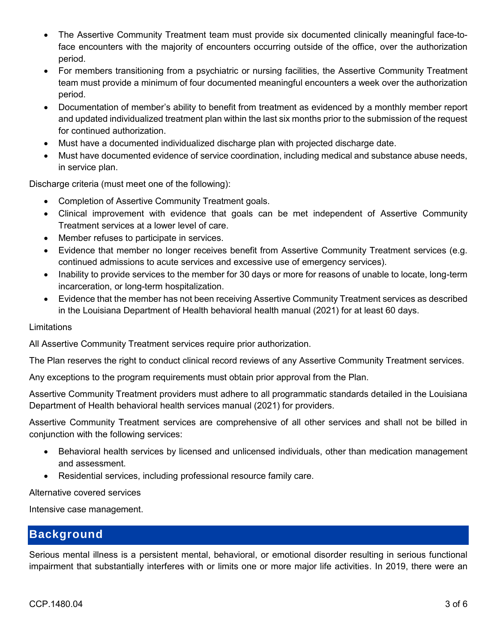- The Assertive Community Treatment team must provide six documented clinically meaningful face-toface encounters with the majority of encounters occurring outside of the office, over the authorization period.
- For members transitioning from a psychiatric or nursing facilities, the Assertive Community Treatment team must provide a minimum of four documented meaningful encounters a week over the authorization period.
- Documentation of member's ability to benefit from treatment as evidenced by a monthly member report and updated individualized treatment plan within the last six months prior to the submission of the request for continued authorization.
- Must have a documented individualized discharge plan with projected discharge date.
- Must have documented evidence of service coordination, including medical and substance abuse needs, in service plan.

Discharge criteria (must meet one of the following):

- Completion of Assertive Community Treatment goals.
- Clinical improvement with evidence that goals can be met independent of Assertive Community Treatment services at a lower level of care.
- Member refuses to participate in services.
- Evidence that member no longer receives benefit from Assertive Community Treatment services (e.g. continued admissions to acute services and excessive use of emergency services).
- Inability to provide services to the member for 30 days or more for reasons of unable to locate, long-term incarceration, or long-term hospitalization.
- Evidence that the member has not been receiving Assertive Community Treatment services as described in the Louisiana Department of Health behavioral health manual (2021) for at least 60 days.

#### Limitations

All Assertive Community Treatment services require prior authorization.

The Plan reserves the right to conduct clinical record reviews of any Assertive Community Treatment services.

Any exceptions to the program requirements must obtain prior approval from the Plan.

Assertive Community Treatment providers must adhere to all programmatic standards detailed in the Louisiana Department of Health behavioral health services manual (2021) for providers.

Assertive Community Treatment services are comprehensive of all other services and shall not be billed in conjunction with the following services:

- Behavioral health services by licensed and unlicensed individuals, other than medication management and assessment.
- Residential services, including professional resource family care.

Alternative covered services

Intensive case management.

## **Background**

Serious mental illness is a persistent mental, behavioral, or emotional disorder resulting in serious functional impairment that substantially interferes with or limits one or more major life activities. In 2019, there were an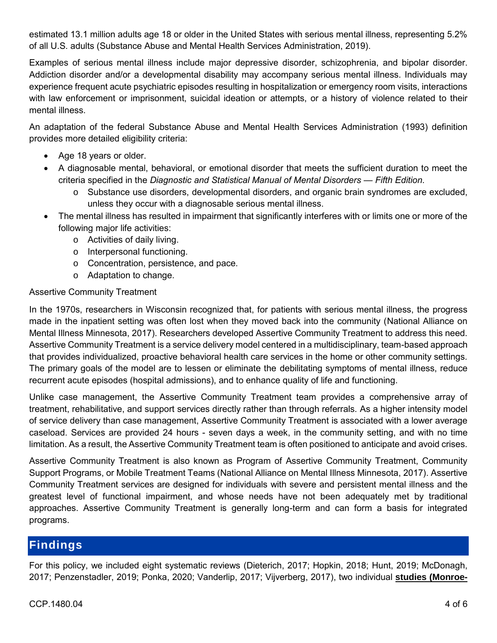estimated 13.1 million adults age 18 or older in the United States with serious mental illness, representing 5.2% of all U.S. adults (Substance Abuse and Mental Health Services Administration, 2019).

Examples of serious mental illness include major depressive disorder, schizophrenia, and bipolar disorder. Addiction disorder and/or a developmental disability may accompany serious mental illness. Individuals may experience frequent acute psychiatric episodes resulting in hospitalization or emergency room visits, interactions with law enforcement or imprisonment, suicidal ideation or attempts, or a history of violence related to their mental illness.

An adaptation of the federal Substance Abuse and Mental Health Services Administration (1993) definition provides more detailed eligibility criteria:

- Age 18 years or older.
- A diagnosable mental, behavioral, or emotional disorder that meets the sufficient duration to meet the criteria specified in the *Diagnostic and Statistical Manual of Mental Disorders — Fifth Edition*.
	- o Substance use disorders, developmental disorders, and organic brain syndromes are excluded, unless they occur with a diagnosable serious mental illness.
- The mental illness has resulted in impairment that significantly interferes with or limits one or more of the following major life activities:
	- o Activities of daily living.
	- o Interpersonal functioning.
	- o Concentration, persistence, and pace.
	- o Adaptation to change.

### Assertive Community Treatment

In the 1970s, researchers in Wisconsin recognized that, for patients with serious mental illness, the progress made in the inpatient setting was often lost when they moved back into the community (National Alliance on Mental Illness Minnesota, 2017). Researchers developed Assertive Community Treatment to address this need. Assertive Community Treatment is a service delivery model centered in a multidisciplinary, team-based approach that provides individualized, proactive behavioral health care services in the home or other community settings. The primary goals of the model are to lessen or eliminate the debilitating symptoms of mental illness, reduce recurrent acute episodes (hospital admissions), and to enhance quality of life and functioning.

Unlike case management, the Assertive Community Treatment team provides a comprehensive array of treatment, rehabilitative, and support services directly rather than through referrals. As a higher intensity model of service delivery than case management, Assertive Community Treatment is associated with a lower average caseload. Services are provided 24 hours - seven days a week, in the community setting, and with no time limitation. As a result, the Assertive Community Treatment team is often positioned to anticipate and avoid crises.

Assertive Community Treatment is also known as Program of Assertive Community Treatment, Community Support Programs, or Mobile Treatment Teams (National Alliance on Mental Illness Minnesota, 2017). Assertive Community Treatment services are designed for individuals with severe and persistent mental illness and the greatest level of functional impairment, and whose needs have not been adequately met by traditional approaches. Assertive Community Treatment is generally long-term and can form a basis for integrated programs.

# **Findings**

For this policy, we included eight systematic reviews (Dieterich, 2017; Hopkin, 2018; Hunt, 2019; McDonagh, 2017; Penzenstadler, 2019; Ponka, 2020; Vanderlip, 2017; Vijverberg, 2017), two individual **studies (Monroe-**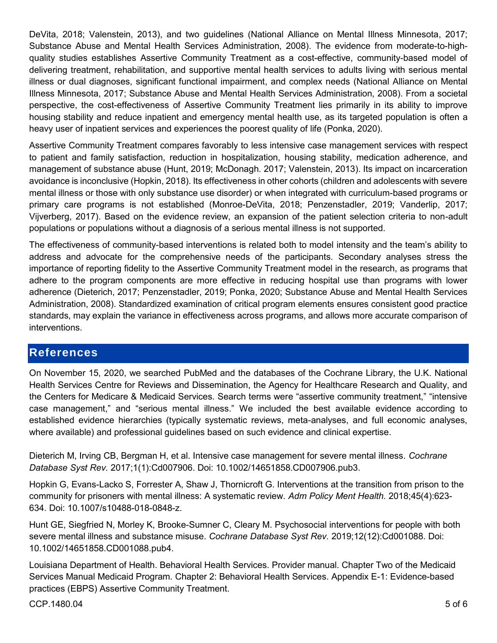DeVita, 2018; Valenstein, 2013), and two guidelines (National Alliance on Mental Illness Minnesota, 2017; Substance Abuse and Mental Health Services Administration, 2008). The evidence from moderate-to-highquality studies establishes Assertive Community Treatment as a cost-effective, community-based model of delivering treatment, rehabilitation, and supportive mental health services to adults living with serious mental illness or dual diagnoses, significant functional impairment, and complex needs (National Alliance on Mental Illness Minnesota, 2017; Substance Abuse and Mental Health Services Administration, 2008). From a societal perspective, the cost-effectiveness of Assertive Community Treatment lies primarily in its ability to improve housing stability and reduce inpatient and emergency mental health use, as its targeted population is often a heavy user of inpatient services and experiences the poorest quality of life (Ponka, 2020).

Assertive Community Treatment compares favorably to less intensive case management services with respect to patient and family satisfaction, reduction in hospitalization, housing stability, medication adherence, and management of substance abuse (Hunt, 2019; McDonagh. 2017; Valenstein, 2013). Its impact on incarceration avoidance is inconclusive (Hopkin, 2018). Its effectiveness in other cohorts (children and adolescents with severe mental illness or those with only substance use disorder) or when integrated with curriculum-based programs or primary care programs is not established (Monroe-DeVita, 2018; Penzenstadler, 2019; Vanderlip, 2017; Vijverberg, 2017). Based on the evidence review, an expansion of the patient selection criteria to non-adult populations or populations without a diagnosis of a serious mental illness is not supported.

The effectiveness of community-based interventions is related both to model intensity and the team's ability to address and advocate for the comprehensive needs of the participants. Secondary analyses stress the importance of reporting fidelity to the Assertive Community Treatment model in the research, as programs that adhere to the program components are more effective in reducing hospital use than programs with lower adherence (Dieterich, 2017; Penzenstadler, 2019; Ponka, 2020; Substance Abuse and Mental Health Services Administration, 2008). Standardized examination of critical program elements ensures consistent good practice standards, may explain the variance in effectiveness across programs, and allows more accurate comparison of interventions.

## **References**

On November 15, 2020, we searched PubMed and the databases of the Cochrane Library, the U.K. National Health Services Centre for Reviews and Dissemination, the Agency for Healthcare Research and Quality, and the Centers for Medicare & Medicaid Services. Search terms were "assertive community treatment," "intensive case management," and "serious mental illness." We included the best available evidence according to established evidence hierarchies (typically systematic reviews, meta-analyses, and full economic analyses, where available) and professional guidelines based on such evidence and clinical expertise.

Dieterich M, Irving CB, Bergman H, et al. Intensive case management for severe mental illness. *Cochrane Database Syst Rev.* 2017;1(1):Cd007906. Doi: 10.1002/14651858.CD007906.pub3.

Hopkin G, Evans-Lacko S, Forrester A, Shaw J, Thornicroft G. Interventions at the transition from prison to the community for prisoners with mental illness: A systematic review. *Adm Policy Ment Health.* 2018;45(4):623- 634. Doi: 10.1007/s10488-018-0848-z.

Hunt GE, Siegfried N, Morley K, Brooke-Sumner C, Cleary M. Psychosocial interventions for people with both severe mental illness and substance misuse. *Cochrane Database Syst Rev.* 2019;12(12):Cd001088. Doi: 10.1002/14651858.CD001088.pub4.

Louisiana Department of Health. Behavioral Health Services. Provider manual. Chapter Two of the Medicaid Services Manual Medicaid Program. Chapter 2: Behavioral Health Services. Appendix E-1: Evidence-based practices (EBPS) Assertive Community Treatment.